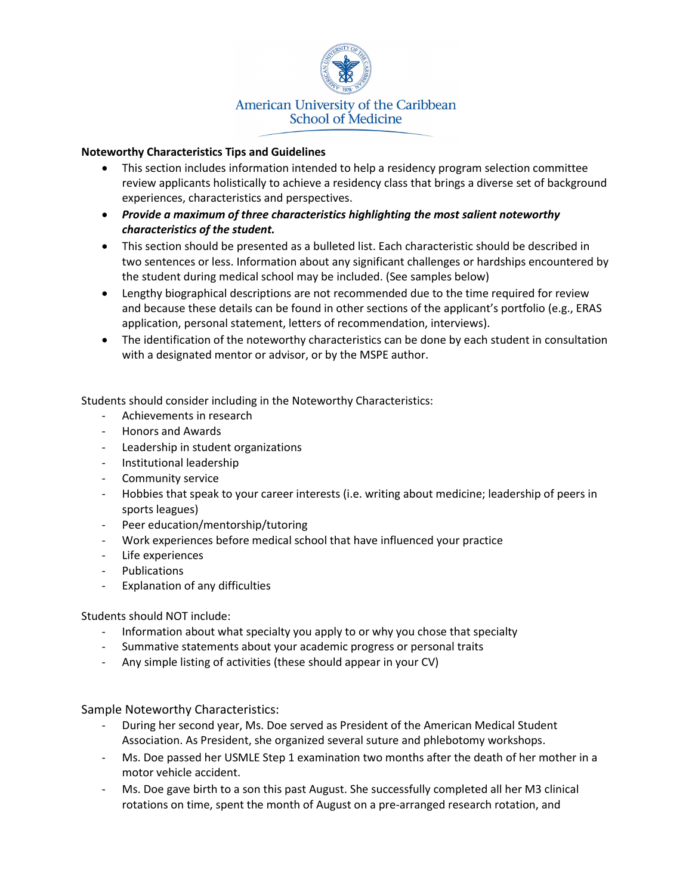

## **Noteworthy Characteristics Tips and Guidelines**

- This section includes information intended to help a residency program selection committee review applicants holistically to achieve a residency class that brings a diverse set of background experiences, characteristics and perspectives.
- *Provide a maximum of three characteristics highlighting the most salient noteworthy characteristics of the student.*
- This section should be presented as a bulleted list. Each characteristic should be described in two sentences or less. Information about any significant challenges or hardships encountered by the student during medical school may be included. (See samples below)
- Lengthy biographical descriptions are not recommended due to the time required for review and because these details can be found in other sections of the applicant's portfolio (e.g., ERAS application, personal statement, letters of recommendation, interviews).
- The identification of the noteworthy characteristics can be done by each student in consultation with a designated mentor or advisor, or by the MSPE author.

Students should consider including in the Noteworthy Characteristics:

- Achievements in research
- Honors and Awards
- Leadership in student organizations
- Institutional leadership
- Community service
- Hobbies that speak to your career interests (i.e. writing about medicine; leadership of peers in sports leagues)
- Peer education/mentorship/tutoring
- Work experiences before medical school that have influenced your practice
- Life experiences
- Publications
- Explanation of any difficulties

Students should NOT include:

- Information about what specialty you apply to or why you chose that specialty
- Summative statements about your academic progress or personal traits
- Any simple listing of activities (these should appear in your CV)

Sample Noteworthy Characteristics:

- During her second year, Ms. Doe served as President of the American Medical Student Association. As President, she organized several suture and phlebotomy workshops.
- Ms. Doe passed her USMLE Step 1 examination two months after the death of her mother in a motor vehicle accident.
- Ms. Doe gave birth to a son this past August. She successfully completed all her M3 clinical rotations on time, spent the month of August on a pre-arranged research rotation, and